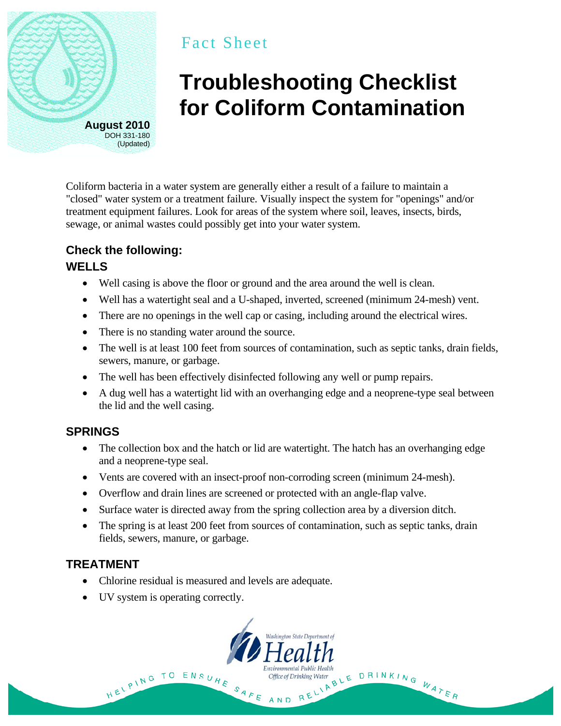

## Fact Sheet

# **Troubleshooting Checklist for Coliform Contamination**

Coliform bacteria in a water system are generally either a result of a failure to maintain a "closed" water system or a treatment failure. Visually inspect the system for "openings" and/or treatment equipment failures. Look for areas of the system where soil, leaves, insects, birds, sewage, or animal wastes could possibly get into your water system.

### **Check the following:**

#### **WELLS**

- Well casing is above the floor or ground and the area around the well is clean.
- Well has a watertight seal and a U-shaped, inverted, screened (minimum 24-mesh) vent.
- There are no openings in the well cap or casing, including around the electrical wires.
- There is no standing water around the source.
- The well is at least 100 feet from sources of contamination, such as septic tanks, drain fields, sewers, manure, or garbage.
- The well has been effectively disinfected following any well or pump repairs.
- A dug well has a watertight lid with an overhanging edge and a neoprene-type seal between the lid and the well casing.

#### **SPRINGS**

- The collection box and the hatch or lid are watertight. The hatch has an overhanging edge and a neoprene-type seal.
- Vents are covered with an insect-proof non-corroding screen (minimum 24-mesh).
- Overflow and drain lines are screened or protected with an angle-flap valve.
- Surface water is directed away from the spring collection area by a diversion ditch.
- The spring is at least 200 feet from sources of contamination, such as septic tanks, drain fields, sewers, manure, or garbage.

#### **TREATMENT**

- Chlorine residual is measured and levels are adequate.
- UV system is operating correctly.

HELPING TO



SAFE AND

The Public Health<br>The Water BLE DRINKING WATER<br>RELIABLE DRINKING WATER